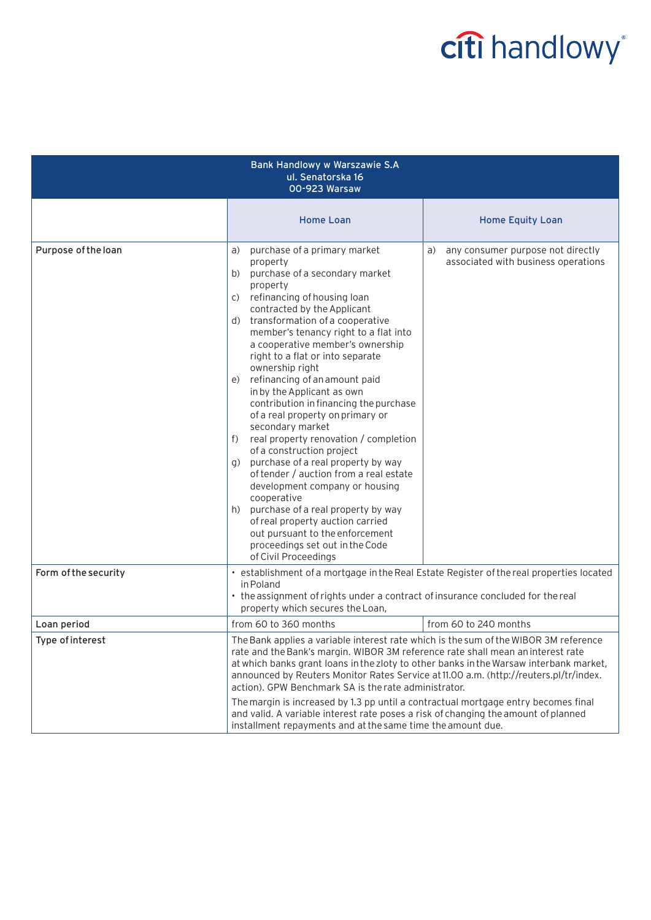## citi handlowy®

| Bank Handlowy w Warszawie S.A<br>ul. Senatorska 16<br>00-923 Warsaw |                                                                                                                                                                                                                                                                                                                                                                                                                                                                                                                                                                                                                                                                                                                                                                                                                                                                                                                             |                                                                                |  |
|---------------------------------------------------------------------|-----------------------------------------------------------------------------------------------------------------------------------------------------------------------------------------------------------------------------------------------------------------------------------------------------------------------------------------------------------------------------------------------------------------------------------------------------------------------------------------------------------------------------------------------------------------------------------------------------------------------------------------------------------------------------------------------------------------------------------------------------------------------------------------------------------------------------------------------------------------------------------------------------------------------------|--------------------------------------------------------------------------------|--|
|                                                                     | <b>Home Loan</b>                                                                                                                                                                                                                                                                                                                                                                                                                                                                                                                                                                                                                                                                                                                                                                                                                                                                                                            | <b>Home Equity Loan</b>                                                        |  |
| Purpose of the loan                                                 | purchase of a primary market<br>a)<br>property<br>purchase of a secondary market<br>b)<br>property<br>refinancing of housing loan<br>C)<br>contracted by the Applicant<br>transformation of a cooperative<br>d)<br>member's tenancy right to a flat into<br>a cooperative member's ownership<br>right to a flat or into separate<br>ownership right<br>refinancing of an amount paid<br>e)<br>in by the Applicant as own<br>contribution in financing the purchase<br>of a real property on primary or<br>secondary market<br>real property renovation / completion<br>f)<br>of a construction project<br>purchase of a real property by way<br>q)<br>of tender / auction from a real estate<br>development company or housing<br>cooperative<br>purchase of a real property by way<br>h)<br>of real property auction carried<br>out pursuant to the enforcement<br>proceedings set out in the Code<br>of Civil Proceedings | any consumer purpose not directly<br>a)<br>associated with business operations |  |
| Form of the security                                                | • establishment of a mortgage in the Real Estate Register of the real properties located<br>in Poland<br>• the assignment of rights under a contract of insurance concluded for the real<br>property which secures the Loan,                                                                                                                                                                                                                                                                                                                                                                                                                                                                                                                                                                                                                                                                                                |                                                                                |  |
| Loan period                                                         | from 60 to 360 months                                                                                                                                                                                                                                                                                                                                                                                                                                                                                                                                                                                                                                                                                                                                                                                                                                                                                                       | from 60 to 240 months                                                          |  |
| Type of interest                                                    | The Bank applies a variable interest rate which is the sum of the WIBOR 3M reference<br>rate and the Bank's margin. WIBOR 3M reference rate shall mean an interest rate<br>at which banks grant loans in the zloty to other banks in the Warsaw interbank market,<br>announced by Reuters Monitor Rates Service at 11.00 a.m. (http://reuters.pl/tr/index.<br>action). GPW Benchmark SA is the rate administrator.<br>The margin is increased by 1.3 pp until a contractual mortgage entry becomes final<br>and valid. A variable interest rate poses a risk of changing the amount of planned                                                                                                                                                                                                                                                                                                                              |                                                                                |  |
|                                                                     | installment repayments and at the same time the amount due.                                                                                                                                                                                                                                                                                                                                                                                                                                                                                                                                                                                                                                                                                                                                                                                                                                                                 |                                                                                |  |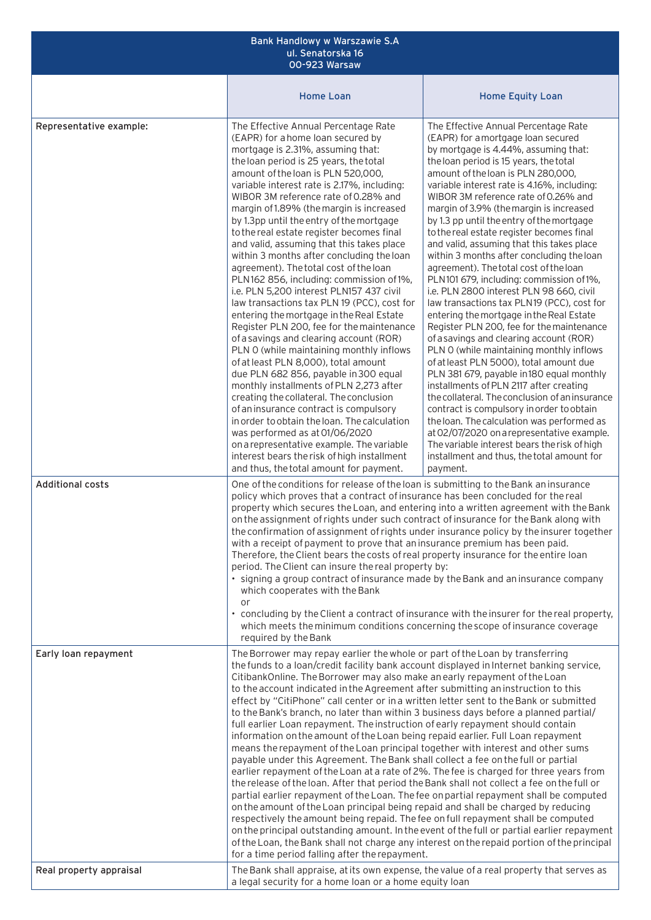| Bank Handlowy w Warszawie S.A<br>ul. Senatorska 16<br>00-923 Warsaw |                                                                                                                                                                                                                                                                                                                                                                                                                                                                                                                                                                                                                                                                                                                                                                                                                                                                                                                                                                                                                                                                                                                                                                                                                                                                                                                                                                                                                                                                                                                                                                                   |                                                                                                                                                                                                                                                                                                                                                                                                                                                                                                                                                                                                                                                                                                                                                                                                                                                                                                                                                                                                                                                                                                                                                                                                                                                                                                                                 |  |  |
|---------------------------------------------------------------------|-----------------------------------------------------------------------------------------------------------------------------------------------------------------------------------------------------------------------------------------------------------------------------------------------------------------------------------------------------------------------------------------------------------------------------------------------------------------------------------------------------------------------------------------------------------------------------------------------------------------------------------------------------------------------------------------------------------------------------------------------------------------------------------------------------------------------------------------------------------------------------------------------------------------------------------------------------------------------------------------------------------------------------------------------------------------------------------------------------------------------------------------------------------------------------------------------------------------------------------------------------------------------------------------------------------------------------------------------------------------------------------------------------------------------------------------------------------------------------------------------------------------------------------------------------------------------------------|---------------------------------------------------------------------------------------------------------------------------------------------------------------------------------------------------------------------------------------------------------------------------------------------------------------------------------------------------------------------------------------------------------------------------------------------------------------------------------------------------------------------------------------------------------------------------------------------------------------------------------------------------------------------------------------------------------------------------------------------------------------------------------------------------------------------------------------------------------------------------------------------------------------------------------------------------------------------------------------------------------------------------------------------------------------------------------------------------------------------------------------------------------------------------------------------------------------------------------------------------------------------------------------------------------------------------------|--|--|
|                                                                     | <b>Home Loan</b>                                                                                                                                                                                                                                                                                                                                                                                                                                                                                                                                                                                                                                                                                                                                                                                                                                                                                                                                                                                                                                                                                                                                                                                                                                                                                                                                                                                                                                                                                                                                                                  | <b>Home Equity Loan</b>                                                                                                                                                                                                                                                                                                                                                                                                                                                                                                                                                                                                                                                                                                                                                                                                                                                                                                                                                                                                                                                                                                                                                                                                                                                                                                         |  |  |
| Representative example:                                             | The Effective Annual Percentage Rate<br>(EAPR) for a home loan secured by<br>mortgage is 2.31%, assuming that:<br>the loan period is 25 years, the total<br>amount of the loan is PLN 520,000,<br>variable interest rate is 2.17%, including:<br>WIBOR 3M reference rate of 0.28% and<br>margin of 1.89% (the margin is increased<br>by 1.3pp until the entry of the mortgage<br>to the real estate register becomes final<br>and valid, assuming that this takes place<br>within 3 months after concluding the loan<br>agreement). The total cost of the loan<br>PLN162 856, including: commission of 1%,<br>i.e. PLN 5,200 interest PLN157 437 civil<br>law transactions tax PLN 19 (PCC), cost for<br>entering the mortgage in the Real Estate<br>Register PLN 200, fee for the maintenance<br>of a savings and clearing account (ROR)<br>PLN 0 (while maintaining monthly inflows<br>of at least PLN 8,000), total amount<br>due PLN 682 856, payable in 300 equal<br>monthly installments of PLN 2,273 after<br>creating the collateral. The conclusion<br>of an insurance contract is compulsory<br>in order to obtain the loan. The calculation<br>was performed as at 01/06/2020<br>on a representative example. The variable<br>interest bears the risk of high installment<br>and thus, the total amount for payment.                                                                                                                                                                                                                                                   | The Effective Annual Percentage Rate<br>(EAPR) for amortgage loan secured<br>by mortgage is 4.44%, assuming that:<br>the loan period is 15 years, the total<br>amount of the loan is PLN 280,000,<br>variable interest rate is 4.16%, including:<br>WIBOR 3M reference rate of 0.26% and<br>margin of 3.9% (the margin is increased<br>by 1.3 pp until the entry of the mortgage<br>to the real estate register becomes final<br>and valid, assuming that this takes place<br>within 3 months after concluding the loan<br>agreement). The total cost of the loan<br>PLN101 679, including: commission of 1%,<br>i.e. PLN 2800 interest PLN 98 660, civil<br>law transactions tax PLN19 (PCC), cost for<br>entering the mortgage in the Real Estate<br>Register PLN 200, fee for the maintenance<br>of a savings and clearing account (ROR)<br>PLN 0 (while maintaining monthly inflows<br>of at least PLN 5000), total amount due<br>PLN 381 679, payable in 180 equal monthly<br>installments of PLN 2117 after creating<br>the collateral. The conclusion of an insurance<br>contract is compulsory in order to obtain<br>the loan. The calculation was performed as<br>at 02/07/2020 on a representative example.<br>The variable interest bears the risk of high<br>installment and thus, the total amount for<br>payment. |  |  |
| <b>Additional costs</b>                                             | One of the conditions for release of the loan is submitting to the Bank an insurance<br>policy which proves that a contract of insurance has been concluded for the real<br>property which secures the Loan, and entering into a written agreement with the Bank<br>on the assignment of rights under such contract of insurance for the Bank along with<br>the confirmation of assignment of rights under insurance policy by the insurer together<br>with a receipt of payment to prove that an insurance premium has been paid.<br>Therefore, the Client bears the costs of real property insurance for the entire loan<br>period. The Client can insure the real property by:<br>• signing a group contract of insurance made by the Bank and an insurance company<br>which cooperates with the Bank<br>or<br>• concluding by the Client a contract of insurance with the insurer for the real property,<br>which meets the minimum conditions concerning the scope of insurance coverage<br>required by the Bank                                                                                                                                                                                                                                                                                                                                                                                                                                                                                                                                                             |                                                                                                                                                                                                                                                                                                                                                                                                                                                                                                                                                                                                                                                                                                                                                                                                                                                                                                                                                                                                                                                                                                                                                                                                                                                                                                                                 |  |  |
| Early loan repayment                                                | The Borrower may repay earlier the whole or part of the Loan by transferring<br>the funds to a loan/credit facility bank account displayed in Internet banking service,<br>CitibankOnline. The Borrower may also make an early repayment of the Loan<br>to the account indicated in the Agreement after submitting an instruction to this<br>effect by "CitiPhone" call center or in a written letter sent to the Bank or submitted<br>to the Bank's branch, no later than within 3 business days before a planned partial/<br>full earlier Loan repayment. The instruction of early repayment should contain<br>information on the amount of the Loan being repaid earlier. Full Loan repayment<br>means the repayment of the Loan principal together with interest and other sums<br>payable under this Agreement. The Bank shall collect a fee on the full or partial<br>earlier repayment of the Loan at a rate of 2%. The fee is charged for three years from<br>the release of the loan. After that period the Bank shall not collect a fee on the full or<br>partial earlier repayment of the Loan. The fee on partial repayment shall be computed<br>on the amount of the Loan principal being repaid and shall be charged by reducing<br>respectively the amount being repaid. The fee on full repayment shall be computed<br>on the principal outstanding amount. In the event of the full or partial earlier repayment<br>of the Loan, the Bank shall not charge any interest on the repaid portion of the principal<br>for a time period falling after the repayment. |                                                                                                                                                                                                                                                                                                                                                                                                                                                                                                                                                                                                                                                                                                                                                                                                                                                                                                                                                                                                                                                                                                                                                                                                                                                                                                                                 |  |  |
| Real property appraisal                                             | The Bank shall appraise, at its own expense, the value of a real property that serves as<br>a legal security for a home loan or a home equity loan                                                                                                                                                                                                                                                                                                                                                                                                                                                                                                                                                                                                                                                                                                                                                                                                                                                                                                                                                                                                                                                                                                                                                                                                                                                                                                                                                                                                                                |                                                                                                                                                                                                                                                                                                                                                                                                                                                                                                                                                                                                                                                                                                                                                                                                                                                                                                                                                                                                                                                                                                                                                                                                                                                                                                                                 |  |  |